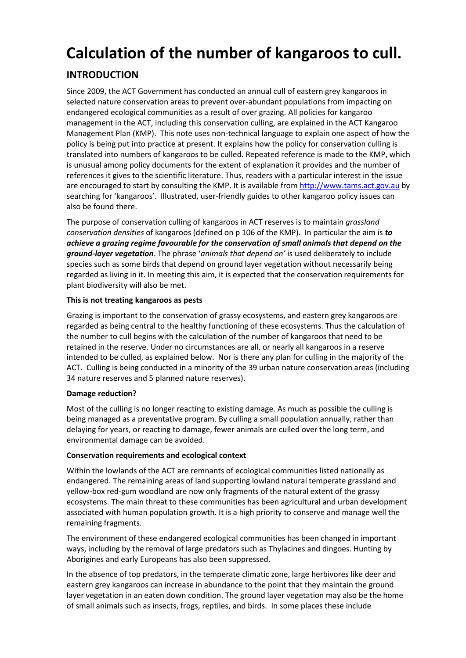# **Calculation of the number of kangaroos to cull.**

# **INTRODUCTION**

Since 2009, the ACT Government has conducted an annual cull of eastern grey kangaroos in selected nature conservation areas to prevent over-abundant populations from impacting on endangered ecological communities as a result of over grazing. All policies for kangaroo management in the ACT, including this conservation culling, are explained in the ACT Kangaroo Management Plan (KMP). This note uses non-technical language to explain one aspect of how the policy is being put into practice at present. It explains how the policy for conservation culling is translated into numbers of kangaroos to be culled. Repeated reference is made to the KMP, which is unusual among policy documents for the extent of explanation it provides and the number of references it gives to the scientific literature. Thus, readers with a particular interest in the issue are encouraged to start by consulting the KMP. It is available fro[m http://www.tams.act.gov.au](http://www.tams.act.gov.au/) by searching for 'kangaroos'. Illustrated, user-friendly guides to other kangaroo policy issues can also be found there.

The purpose of conservation culling of kangaroos in ACT reserves is to maintain *grassland conservation densities* of kangaroos (defined on p 106 of the KMP). In particular the aim is *to achieve a grazing regime favourable for the conservation of small animals that depend on the ground-layer vegetation*. The phrase '*animals that depend on'* is used deliberately to include species such as some birds that depend on ground layer vegetation without necessarily being regarded as living in it. In meeting this aim, it is expected that the conservation requirements for plant biodiversity will also be met.

### **This is not treating kangaroos as pests**

Grazing is important to the conservation of grassy ecosystems, and eastern grey kangaroos are regarded as being central to the healthy functioning of these ecosystems. Thus the calculation of the number to cull begins with the calculation of the number of kangaroos that need to be retained in the reserve. Under no circumstances are all, or nearly all kangaroos in a reserve intended to be culled, as explained below. Nor is there any plan for culling in the majority of the ACT. Culling is being conducted in a minority of the 39 urban nature conservation areas (including 34 nature reserves and 5 planned nature reserves).

### **Damage reduction?**

Most of the culling is no longer reacting to existing damage. As much as possible the culling is being managed as a preventative program. By culling a small population annually, rather than delaying for years, or reacting to damage, fewer animals are culled over the long term, and environmental damage can be avoided.

### **Conservation requirements and ecological context**

Within the lowlands of the ACT are remnants of ecological communities listed nationally as endangered. The remaining areas of land supporting lowland natural temperate grassland and yellow-box red-gum woodland are now only fragments of the natural extent of the grassy ecosystems. The main threat to these communities has been agricultural and urban development associated with human population growth. It is a high priority to conserve and manage well the remaining fragments.

The environment of these endangered ecological communities has been changed in important ways, including by the removal of large predators such as Thylacines and dingoes. Hunting by Aborigines and early Europeans has also been suppressed.

In the absence of top predators, in the temperate climatic zone, large herbivores like deer and eastern grey kangaroos can increase in abundance to the point that they maintain the ground layer vegetation in an eaten down condition. The ground layer vegetation may also be the home of small animals such as insects, frogs, reptiles, and birds. In some places these include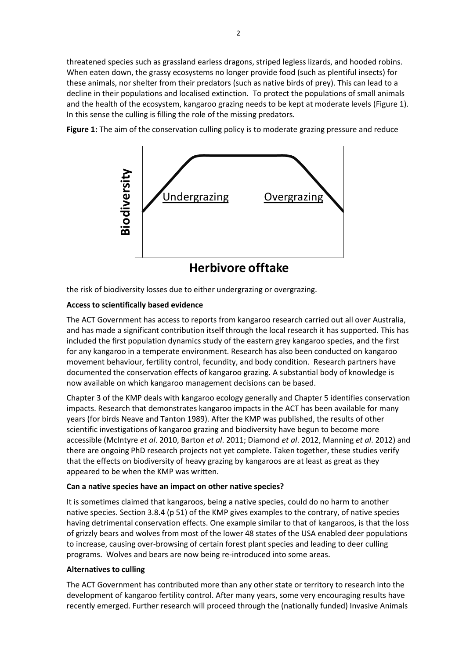threatened species such as grassland earless dragons, striped legless lizards, and hooded robins. When eaten down, the grassy ecosystems no longer provide food (such as plentiful insects) for these animals, nor shelter from their predators (such as native birds of prey). This can lead to a decline in their populations and localised extinction. To protect the populations of small animals and the health of the ecosystem, kangaroo grazing needs to be kept at moderate levels (Figure 1). In this sense the culling is filling the role of the missing predators.

**Figure 1:** The aim of the conservation culling policy is to moderate grazing pressure and reduce



the risk of biodiversity losses due to either undergrazing or overgrazing.

#### **Access to scientifically based evidence**

The ACT Government has access to reports from kangaroo research carried out all over Australia, and has made a significant contribution itself through the local research it has supported. This has included the first population dynamics study of the eastern grey kangaroo species, and the first for any kangaroo in a temperate environment. Research has also been conducted on kangaroo movement behaviour, fertility control, fecundity, and body condition. Research partners have documented the conservation effects of kangaroo grazing. A substantial body of knowledge is now available on which kangaroo management decisions can be based.

Chapter 3 of the KMP deals with kangaroo ecology generally and Chapter 5 identifies conservation impacts. Research that demonstrates kangaroo impacts in the ACT has been available for many years (for birds Neave and Tanton 1989). After the KMP was published, the results of other scientific investigations of kangaroo grazing and biodiversity have begun to become more accessible (McIntyre *et al*. 2010, Barton *et al*. 2011; Diamond *et al*. 2012, Manning *et al*. 2012) and there are ongoing PhD research projects not yet complete. Taken together, these studies verify that the effects on biodiversity of heavy grazing by kangaroos are at least as great as they appeared to be when the KMP was written.

### **Can a native species have an impact on other native species?**

It is sometimes claimed that kangaroos, being a native species, could do no harm to another native species. Section 3.8.4 (p 51) of the KMP gives examples to the contrary, of native species having detrimental conservation effects. One example similar to that of kangaroos, is that the loss of grizzly bears and wolves from most of the lower 48 states of the USA enabled deer populations to increase, causing over-browsing of certain forest plant species and leading to deer culling programs. Wolves and bears are now being re-introduced into some areas.

#### **Alternatives to culling**

The ACT Government has contributed more than any other state or territory to research into the development of kangaroo fertility control. After many years, some very encouraging results have recently emerged. Further research will proceed through the (nationally funded) Invasive Animals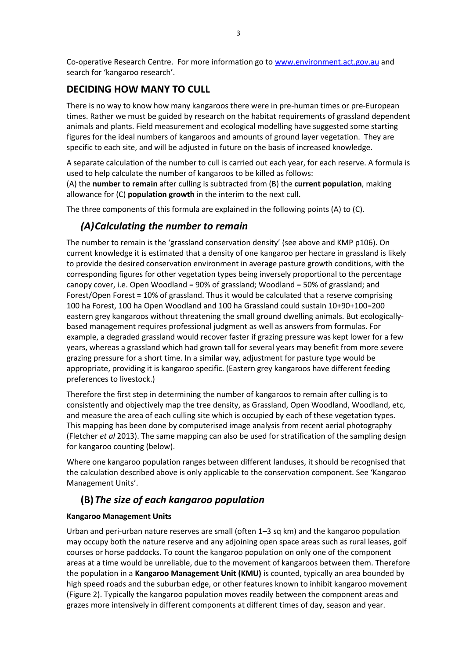Co-operative Research Centre. For more information go to [www.environment.act.gov.au](http://www.environment.act.gov.au/) and search for 'kangaroo research'.

## **DECIDING HOW MANY TO CULL**

There is no way to know how many kangaroos there were in pre-human times or pre-European times. Rather we must be guided by research on the habitat requirements of grassland dependent animals and plants. Field measurement and ecological modelling have suggested some starting figures for the ideal numbers of kangaroos and amounts of ground layer vegetation. They are specific to each site, and will be adjusted in future on the basis of increased knowledge.

A separate calculation of the number to cull is carried out each year, for each reserve. A formula is used to help calculate the number of kangaroos to be killed as follows:

(A) the **number to remain** after culling is subtracted from (B) the **current population**, making allowance for (C) **population growth** in the interim to the next cull.

The three components of this formula are explained in the following points (A) to (C).

# *(A)Calculating the number to remain*

The number to remain is the 'grassland conservation density' (see above and KMP p106). On current knowledge it is estimated that a density of one kangaroo per hectare in grassland is likely to provide the desired conservation environment in average pasture growth conditions, with the corresponding figures for other vegetation types being inversely proportional to the percentage canopy cover, i.e. Open Woodland = 90% of grassland; Woodland = 50% of grassland; and Forest/Open Forest = 10% of grassland. Thus it would be calculated that a reserve comprising 100 ha Forest, 100 ha Open Woodland and 100 ha Grassland could sustain 10+90+100=200 eastern grey kangaroos without threatening the small ground dwelling animals. But ecologicallybased management requires professional judgment as well as answers from formulas. For example, a degraded grassland would recover faster if grazing pressure was kept lower for a few years, whereas a grassland which had grown tall for several years may benefit from more severe grazing pressure for a short time. In a similar way, adjustment for pasture type would be appropriate, providing it is kangaroo specific. (Eastern grey kangaroos have different feeding preferences to livestock.)

Therefore the first step in determining the number of kangaroos to remain after culling is to consistently and objectively map the tree density, as Grassland, Open Woodland, Woodland, etc, and measure the area of each culling site which is occupied by each of these vegetation types. This mapping has been done by computerised image analysis from recent aerial photography (Fletcher *et al* 2013). The same mapping can also be used for stratification of the sampling design for kangaroo counting (below).

Where one kangaroo population ranges between different landuses, it should be recognised that the calculation described above is only applicable to the conservation component. See 'Kangaroo Management Units'.

# **(B)***The size of each kangaroo population*

### **Kangaroo Management Units**

Urban and peri-urban nature reserves are small (often 1–3 sq km) and the kangaroo population may occupy both the nature reserve and any adjoining open space areas such as rural leases, golf courses or horse paddocks. To count the kangaroo population on only one of the component areas at a time would be unreliable, due to the movement of kangaroos between them. Therefore the population in a **Kangaroo Management Unit (KMU)** is counted, typically an area bounded by high speed roads and the suburban edge, or other features known to inhibit kangaroo movement (Figure 2). Typically the kangaroo population moves readily between the component areas and grazes more intensively in different components at different times of day, season and year.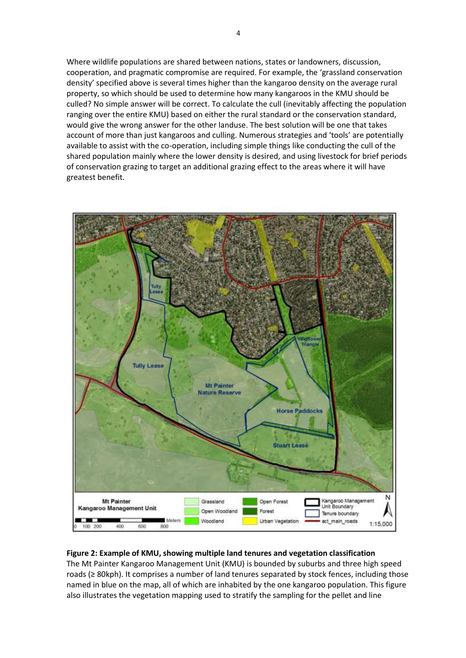Where wildlife populations are shared between nations, states or landowners, discussion, cooperation, and pragmatic compromise are required. For example, the 'grassland conservation density' specified above is several times higher than the kangaroo density on the average rural property, so which should be used to determine how many kangaroos in the KMU should be culled? No simple answer will be correct. To calculate the cull (inevitably affecting the population ranging over the entire KMU) based on either the rural standard or the conservation standard, would give the wrong answer for the other landuse. The best solution will be one that takes account of more than just kangaroos and culling. Numerous strategies and 'tools' are potentially available to assist with the co-operation, including simple things like conducting the cull of the shared population mainly where the lower density is desired, and using livestock for brief periods of conservation grazing to target an additional grazing effect to the areas where it will have greatest benefit.



### **Figure 2: Example of KMU, showing multiple land tenures and vegetation classification**

The Mt Painter Kangaroo Management Unit (KMU) is bounded by suburbs and three high speed roads (≥ 80kph). It comprises a number of land tenures separated by stock fences, including those named in blue on the map, all of which are inhabited by the one kangaroo population. This figure also illustrates the vegetation mapping used to stratify the sampling for the pellet and line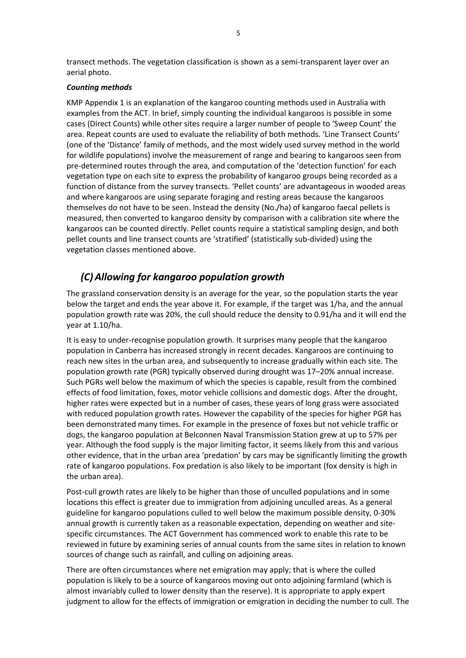transect methods. The vegetation classification is shown as a semi-transparent layer over an aerial photo.

#### *Counting methods*

KMP Appendix 1 is an explanation of the kangaroo counting methods used in Australia with examples from the ACT. In brief, simply counting the individual kangaroos is possible in some cases (Direct Counts) while other sites require a larger number of people to 'Sweep Count' the area. Repeat counts are used to evaluate the reliability of both methods. 'Line Transect Counts' (one of the 'Distance' family of methods, and the most widely used survey method in the world for wildlife populations) involve the measurement of range and bearing to kangaroos seen from pre-determined routes through the area, and computation of the 'detection function' for each vegetation type on each site to express the probability of kangaroo groups being recorded as a function of distance from the survey transects. 'Pellet counts' are advantageous in wooded areas and where kangaroos are using separate foraging and resting areas because the kangaroos themselves do not have to be seen. Instead the density (No./ha) of kangaroo faecal pellets is measured, then converted to kangaroo density by comparison with a calibration site where the kangaroos can be counted directly. Pellet counts require a statistical sampling design, and both pellet counts and line transect counts are 'stratified' (statistically sub-divided) using the vegetation classes mentioned above.

# *(C)Allowing for kangaroo population growth*

The grassland conservation density is an average for the year, so the population starts the year below the target and ends the year above it. For example, if the target was 1/ha, and the annual population growth rate was 20%, the cull should reduce the density to 0.91/ha and it will end the year at 1.10/ha.

It is easy to under-recognise population growth. It surprises many people that the kangaroo population in Canberra has increased strongly in recent decades. Kangaroos are continuing to reach new sites in the urban area, and subsequently to increase gradually within each site. The population growth rate (PGR) typically observed during drought was 17–20% annual increase. Such PGRs well below the maximum of which the species is capable, result from the combined effects of food limitation, foxes, motor vehicle collisions and domestic dogs. After the drought, higher rates were expected but in a number of cases, these years of long grass were associated with reduced population growth rates. However the capability of the species for higher PGR has been demonstrated many times. For example in the presence of foxes but not vehicle traffic or dogs, the kangaroo population at Belconnen Naval Transmission Station grew at up to 57% per year. Although the food supply is the major limiting factor, it seems likely from this and various other evidence, that in the urban area 'predation' by cars may be significantly limiting the growth rate of kangaroo populations. Fox predation is also likely to be important (fox density is high in the urban area).

Post-cull growth rates are likely to be higher than those of unculled populations and in some locations this effect is greater due to immigration from adjoining unculled areas. As a general guideline for kangaroo populations culled to well below the maximum possible density, 0-30% annual growth is currently taken as a reasonable expectation, depending on weather and sitespecific circumstances. The ACT Government has commenced work to enable this rate to be reviewed in future by examining series of annual counts from the same sites in relation to known sources of change such as rainfall, and culling on adjoining areas.

There are often circumstances where net emigration may apply; that is where the culled population is likely to be a source of kangaroos moving out onto adjoining farmland (which is almost invariably culled to lower density than the reserve). It is appropriate to apply expert judgment to allow for the effects of immigration or emigration in deciding the number to cull. The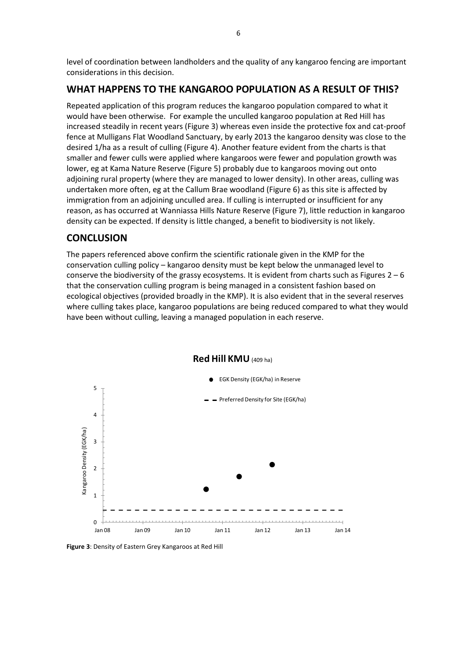level of coordination between landholders and the quality of any kangaroo fencing are important considerations in this decision.

### **WHAT HAPPENS TO THE KANGAROO POPULATION AS A RESULT OF THIS?**

Repeated application of this program reduces the kangaroo population compared to what it would have been otherwise. For example the unculled kangaroo population at Red Hill has increased steadily in recent years (Figure 3) whereas even inside the protective fox and cat-proof fence at Mulligans Flat Woodland Sanctuary, by early 2013 the kangaroo density was close to the desired 1/ha as a result of culling (Figure 4). Another feature evident from the charts is that smaller and fewer culls were applied where kangaroos were fewer and population growth was lower, eg at Kama Nature Reserve (Figure 5) probably due to kangaroos moving out onto adjoining rural property (where they are managed to lower density). In other areas, culling was undertaken more often, eg at the Callum Brae woodland (Figure 6) as this site is affected by immigration from an adjoining unculled area. If culling is interrupted or insufficient for any reason, as has occurred at Wanniassa Hills Nature Reserve (Figure 7), little reduction in kangaroo density can be expected. If density is little changed, a benefit to biodiversity is not likely.

### **CONCLUSION**

The papers referenced above confirm the scientific rationale given in the KMP for the conservation culling policy – kangaroo density must be kept below the unmanaged level to conserve the biodiversity of the grassy ecosystems. It is evident from charts such as Figures  $2-6$ that the conservation culling program is being managed in a consistent fashion based on ecological objectives (provided broadly in the KMP). It is also evident that in the several reserves where culling takes place, kangaroo populations are being reduced compared to what they would have been without culling, leaving a managed population in each reserve.



#### **Red Hill KMU** (409 ha)

**Figure 3**: Density of Eastern Grey Kangaroos at Red Hill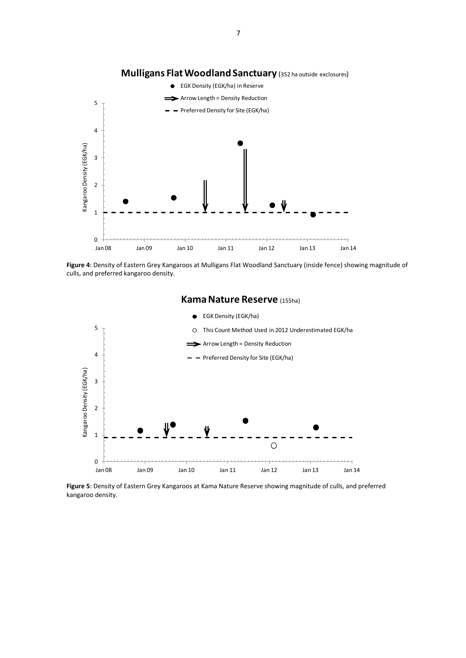

### **Mulligans Flat Woodland Sanctuary** (352 ha outside exclosures)

**Figure 4**: Density of Eastern Grey Kangaroos at Mulligans Flat Woodland Sanctuary (inside fence) showing magnitude of culls, and preferred kangaroo density.



**Kama Nature Reserve** (155ha)

**Figure 5**: Density of Eastern Grey Kangaroos at Kama Nature Reserve showing magnitude of culls, and preferred kangaroo density.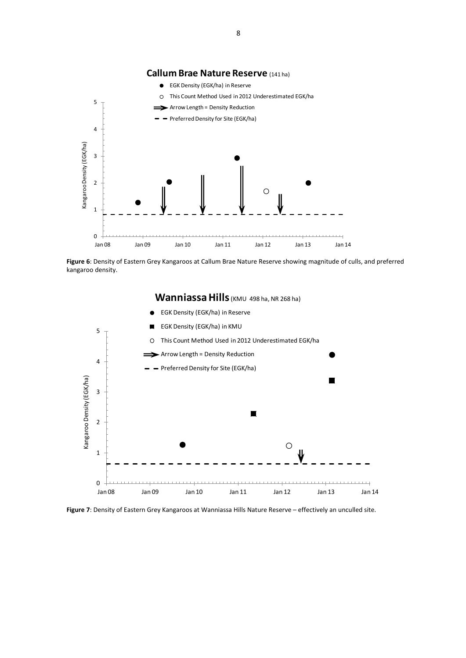

**Figure 6**: Density of Eastern Grey Kangaroos at Callum Brae Nature Reserve showing magnitude of culls, and preferred kangaroo density.



**Figure 7**: Density of Eastern Grey Kangaroos at Wanniassa Hills Nature Reserve – effectively an unculled site.